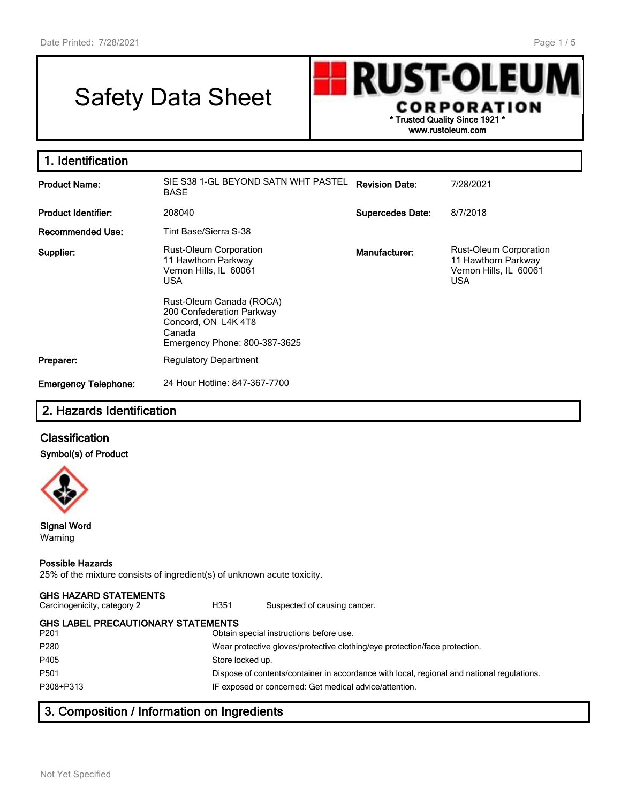# Safety Data Sheet

**RUST-OLEU** CORPORATION **\* Trusted Quality Since 1921 \* www.rustoleum.com**

| 1. Identification                                                                                                                                                                                                                    |                                                    |                         |                                                                                              |
|--------------------------------------------------------------------------------------------------------------------------------------------------------------------------------------------------------------------------------------|----------------------------------------------------|-------------------------|----------------------------------------------------------------------------------------------|
| <b>Product Name:</b>                                                                                                                                                                                                                 | SIE S38 1-GL BEYOND SATN WHT PASTEL<br><b>BASE</b> | <b>Revision Date:</b>   | 7/28/2021                                                                                    |
| <b>Product Identifier:</b>                                                                                                                                                                                                           | 208040                                             | <b>Supercedes Date:</b> | 8/7/2018                                                                                     |
| <b>Recommended Use:</b>                                                                                                                                                                                                              | Tint Base/Sierra S-38                              |                         |                                                                                              |
| <b>Rust-Oleum Corporation</b><br>Supplier:<br>11 Hawthorn Parkway<br>Vernon Hills, IL 60061<br><b>USA</b><br>Rust-Oleum Canada (ROCA)<br>200 Confederation Parkway<br>Concord, ON L4K 4T8<br>Canada<br>Emergency Phone: 800-387-3625 |                                                    | Manufacturer:           | <b>Rust-Oleum Corporation</b><br>11 Hawthorn Parkway<br>Vernon Hills, IL 60061<br><b>USA</b> |
| Preparer:                                                                                                                                                                                                                            | <b>Regulatory Department</b>                       |                         |                                                                                              |
| <b>Emergency Telephone:</b>                                                                                                                                                                                                          | 24 Hour Hotline: 847-367-7700                      |                         |                                                                                              |

# **2. Hazards Identification**

# **Classification**

#### **Symbol(s) of Product**



#### **Signal Word** Warning

#### **Possible Hazards**

25% of the mixture consists of ingredient(s) of unknown acute toxicity.

#### **GHS HAZARD STATEMENTS**

Carcinogenicity, category 2 **H351** Suspected of causing cancer.

P201 Obtain special instructions before use. P280 Wear protective gloves/protective clothing/eye protection/face protection. P405 Store locked up. P501 Dispose of contents/container in accordance with local, regional and national regulations. P308+P313 IF exposed or concerned: Get medical advice/attention.

# **3. Composition / Information on Ingredients**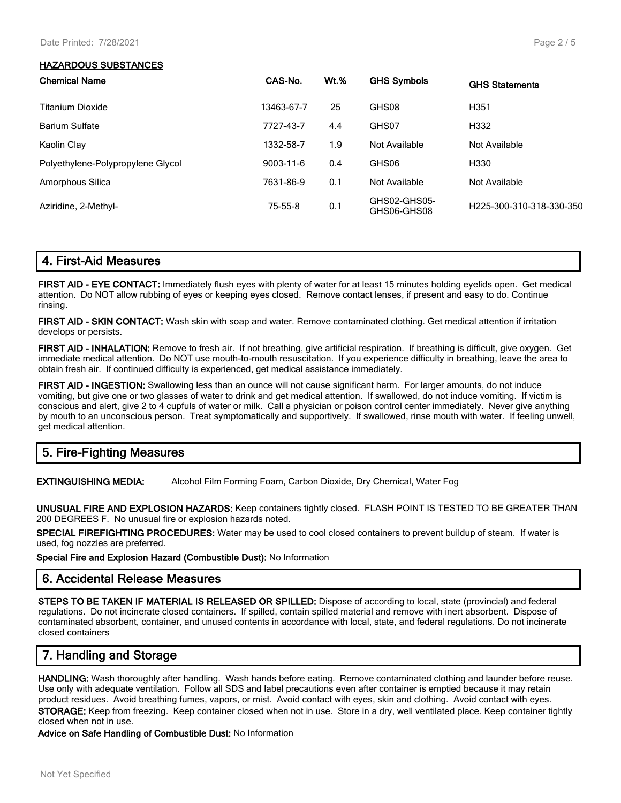#### **HAZARDOUS SUBSTANCES**

| <b>Chemical Name</b>              | CAS-No.         | <b>Wt.%</b> | <b>GHS Symbols</b>          | <b>GHS Statements</b>    |
|-----------------------------------|-----------------|-------------|-----------------------------|--------------------------|
| Titanium Dioxide                  | 13463-67-7      | 25          | GHS08                       | H <sub>351</sub>         |
| <b>Barium Sulfate</b>             | 7727-43-7       | 4.4         | GHS07                       | H332                     |
| Kaolin Clay                       | 1332-58-7       | 1.9         | Not Available               | Not Available            |
| Polyethylene-Polypropylene Glycol | $9003 - 11 - 6$ | 0.4         | GHS06                       | H330                     |
| Amorphous Silica                  | 7631-86-9       | 0.1         | Not Available               | Not Available            |
| Aziridine, 2-Methyl-              | 75-55-8         | 0.1         | GHS02-GHS05-<br>GHS06-GHS08 | H225-300-310-318-330-350 |

## **4. First-Aid Measures**

**FIRST AID - EYE CONTACT:** Immediately flush eyes with plenty of water for at least 15 minutes holding eyelids open. Get medical attention. Do NOT allow rubbing of eyes or keeping eyes closed. Remove contact lenses, if present and easy to do. Continue rinsing.

**FIRST AID - SKIN CONTACT:** Wash skin with soap and water. Remove contaminated clothing. Get medical attention if irritation develops or persists.

**FIRST AID - INHALATION:** Remove to fresh air. If not breathing, give artificial respiration. If breathing is difficult, give oxygen. Get immediate medical attention. Do NOT use mouth-to-mouth resuscitation. If you experience difficulty in breathing, leave the area to obtain fresh air. If continued difficulty is experienced, get medical assistance immediately.

**FIRST AID - INGESTION:** Swallowing less than an ounce will not cause significant harm. For larger amounts, do not induce vomiting, but give one or two glasses of water to drink and get medical attention. If swallowed, do not induce vomiting. If victim is conscious and alert, give 2 to 4 cupfuls of water or milk. Call a physician or poison control center immediately. Never give anything by mouth to an unconscious person. Treat symptomatically and supportively. If swallowed, rinse mouth with water. If feeling unwell, get medical attention.

# **5. Fire-Fighting Measures**

**EXTINGUISHING MEDIA:** Alcohol Film Forming Foam, Carbon Dioxide, Dry Chemical, Water Fog

**UNUSUAL FIRE AND EXPLOSION HAZARDS:** Keep containers tightly closed. FLASH POINT IS TESTED TO BE GREATER THAN 200 DEGREES F. No unusual fire or explosion hazards noted.

**SPECIAL FIREFIGHTING PROCEDURES:** Water may be used to cool closed containers to prevent buildup of steam. If water is used, fog nozzles are preferred.

**Special Fire and Explosion Hazard (Combustible Dust):** No Information

#### **6. Accidental Release Measures**

**STEPS TO BE TAKEN IF MATERIAL IS RELEASED OR SPILLED:** Dispose of according to local, state (provincial) and federal regulations. Do not incinerate closed containers. If spilled, contain spilled material and remove with inert absorbent. Dispose of contaminated absorbent, container, and unused contents in accordance with local, state, and federal regulations. Do not incinerate closed containers

# **7. Handling and Storage**

**HANDLING:** Wash thoroughly after handling. Wash hands before eating. Remove contaminated clothing and launder before reuse. Use only with adequate ventilation. Follow all SDS and label precautions even after container is emptied because it may retain product residues. Avoid breathing fumes, vapors, or mist. Avoid contact with eyes, skin and clothing. Avoid contact with eyes. **STORAGE:** Keep from freezing. Keep container closed when not in use. Store in a dry, well ventilated place. Keep container tightly closed when not in use.

**Advice on Safe Handling of Combustible Dust:** No Information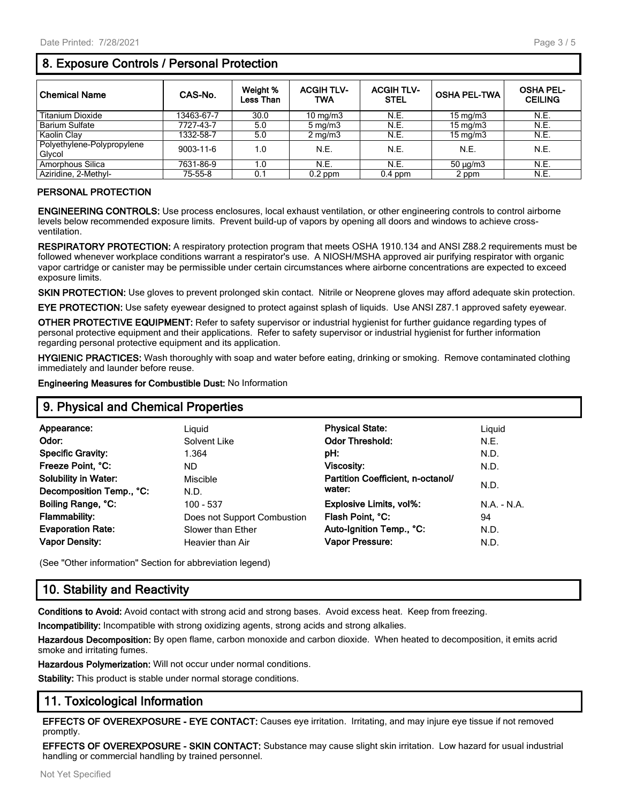# **8. Exposure Controls / Personal Protection**

| <b>Chemical Name</b>                 | CAS-No.    | Weight %<br><b>Less Than</b> | <b>ACGIH TLV-</b><br>TWA | <b>ACGIH TLV-</b><br><b>STEL</b> | <b>OSHA PEL-TWA</b> | <b>OSHA PEL-</b><br><b>CEILING</b> |
|--------------------------------------|------------|------------------------------|--------------------------|----------------------------------|---------------------|------------------------------------|
| <b>Titanium Dioxide</b>              | 13463-67-7 | 30.0                         | 10 mg/m $3$              | N.E.                             | $15 \text{ mg/m}$   | N.E.                               |
| <b>Barium Sulfate</b>                | 7727-43-7  | 5.0                          | $5 \text{ mg/m}$         | N.E.                             | $15 \text{ mg/m}$   | N.E.                               |
| Kaolin Clav                          | 1332-58-7  | 5.0                          | $2 \text{ mg/m}$         | N.E.                             | $15 \text{ mg/m}$   | N.E.                               |
| Polyethylene-Polypropylene<br>Glvcol | 9003-11-6  | 1.0                          | N.E.                     | N.E.                             | N.E.                | N.E.                               |
| Amorphous Silica                     | 7631-86-9  | 1.0                          | N.E.                     | N.E.                             | $50 \mu g/m3$       | N.E.                               |
| Aziridine, 2-Methyl-                 | 75-55-8    | 0.1                          | $0.2$ ppm                | $0.4$ ppm                        | 2 ppm               | N.E.                               |

#### **PERSONAL PROTECTION**

**ENGINEERING CONTROLS:** Use process enclosures, local exhaust ventilation, or other engineering controls to control airborne levels below recommended exposure limits. Prevent build-up of vapors by opening all doors and windows to achieve crossventilation.

**RESPIRATORY PROTECTION:** A respiratory protection program that meets OSHA 1910.134 and ANSI Z88.2 requirements must be followed whenever workplace conditions warrant a respirator's use. A NIOSH/MSHA approved air purifying respirator with organic vapor cartridge or canister may be permissible under certain circumstances where airborne concentrations are expected to exceed exposure limits.

**SKIN PROTECTION:** Use gloves to prevent prolonged skin contact. Nitrile or Neoprene gloves may afford adequate skin protection.

**EYE PROTECTION:** Use safety eyewear designed to protect against splash of liquids. Use ANSI Z87.1 approved safety eyewear.

**OTHER PROTECTIVE EQUIPMENT:** Refer to safety supervisor or industrial hygienist for further guidance regarding types of personal protective equipment and their applications. Refer to safety supervisor or industrial hygienist for further information regarding personal protective equipment and its application.

**HYGIENIC PRACTICES:** Wash thoroughly with soap and water before eating, drinking or smoking. Remove contaminated clothing immediately and launder before reuse.

**Engineering Measures for Combustible Dust:** No Information

## **9. Physical and Chemical Properties**

| Appearance:                 | Liguid                      | <b>Physical State:</b>            | Liguid        |
|-----------------------------|-----------------------------|-----------------------------------|---------------|
| Odor:                       | Solvent Like                | <b>Odor Threshold:</b>            | N.E.          |
| <b>Specific Gravity:</b>    | 1.364                       | pH:                               | N.D.          |
| Freeze Point, °C:           | ND.                         | Viscosity:                        | N.D.          |
| <b>Solubility in Water:</b> | Miscible                    | Partition Coefficient, n-octanol/ |               |
| Decomposition Temp., °C:    | N.D.                        | water:                            | N.D.          |
| Boiling Range, °C:          | $100 - 537$                 | Explosive Limits, vol%:           | $N.A. - N.A.$ |
| <b>Flammability:</b>        | Does not Support Combustion | Flash Point. °C:                  | 94            |
| <b>Evaporation Rate:</b>    | Slower than Ether           | Auto-Ignition Temp., °C:          | N.D.          |
| <b>Vapor Density:</b>       | Heavier than Air            | Vapor Pressure:                   | N.D.          |
|                             |                             |                                   |               |

(See "Other information" Section for abbreviation legend)

# **10. Stability and Reactivity**

**Conditions to Avoid:** Avoid contact with strong acid and strong bases. Avoid excess heat. Keep from freezing.

**Incompatibility:** Incompatible with strong oxidizing agents, strong acids and strong alkalies.

**Hazardous Decomposition:** By open flame, carbon monoxide and carbon dioxide. When heated to decomposition, it emits acrid smoke and irritating fumes.

**Hazardous Polymerization:** Will not occur under normal conditions.

**Stability:** This product is stable under normal storage conditions.

## **11. Toxicological Information**

**EFFECTS OF OVEREXPOSURE - EYE CONTACT:** Causes eye irritation. Irritating, and may injure eye tissue if not removed promptly.

**EFFECTS OF OVEREXPOSURE - SKIN CONTACT:** Substance may cause slight skin irritation. Low hazard for usual industrial handling or commercial handling by trained personnel.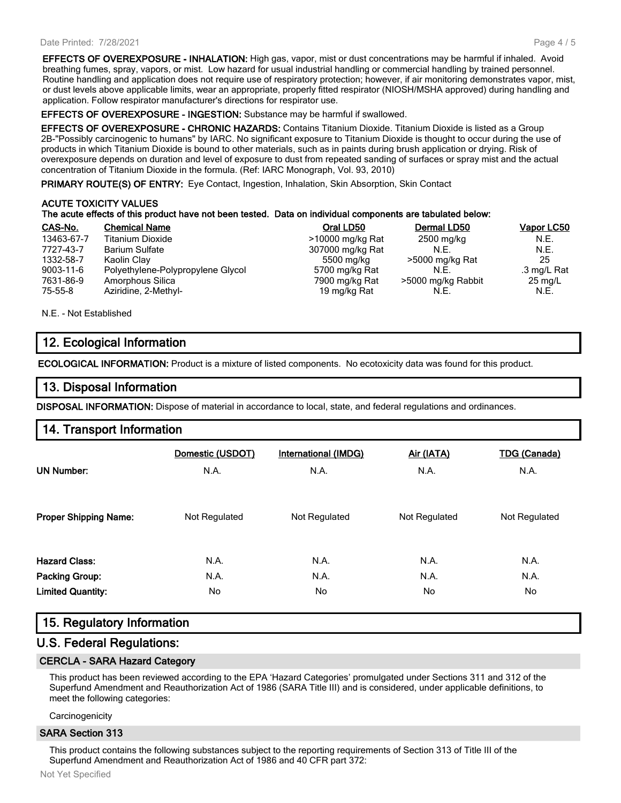#### Date Printed: 7/28/2021

**EFFECTS OF OVEREXPOSURE - INHALATION:** High gas, vapor, mist or dust concentrations may be harmful if inhaled. Avoid breathing fumes, spray, vapors, or mist. Low hazard for usual industrial handling or commercial handling by trained personnel. Routine handling and application does not require use of respiratory protection; however, if air monitoring demonstrates vapor, mist, or dust levels above applicable limits, wear an appropriate, properly fitted respirator (NIOSH/MSHA approved) during handling and application. Follow respirator manufacturer's directions for respirator use.

**EFFECTS OF OVEREXPOSURE - INGESTION:** Substance may be harmful if swallowed.

**EFFECTS OF OVEREXPOSURE - CHRONIC HAZARDS:** Contains Titanium Dioxide. Titanium Dioxide is listed as a Group 2B-"Possibly carcinogenic to humans" by IARC. No significant exposure to Titanium Dioxide is thought to occur during the use of products in which Titanium Dioxide is bound to other materials, such as in paints during brush application or drying. Risk of overexposure depends on duration and level of exposure to dust from repeated sanding of surfaces or spray mist and the actual concentration of Titanium Dioxide in the formula. (Ref: IARC Monograph, Vol. 93, 2010)

**PRIMARY ROUTE(S) OF ENTRY:** Eye Contact, Ingestion, Inhalation, Skin Absorption, Skin Contact

#### **ACUTE TOXICITY VALUES The acute effects of this product have not been tested. Data on individual components are tabulated below:**

| CAS-No.         | <b>Chemical Name</b>              | Oral LD50        | Dermal LD50        | <b>Vapor LC50</b> |
|-----------------|-----------------------------------|------------------|--------------------|-------------------|
| 13463-67-7      | <b>Titanium Dioxide</b>           | >10000 mg/kg Rat | 2500 mg/kg         | N.E.              |
| 7727-43-7       | <b>Barium Sulfate</b>             | 307000 mg/kg Rat | N.E.               | N.E.              |
| 1332-58-7       | Kaolin Clay                       | 5500 mg/kg       | >5000 mg/kg Rat    | 25                |
| $9003 - 11 - 6$ | Polyethylene-Polypropylene Glycol | 5700 mg/kg Rat   | N.E.               | .3 mg/L Rat       |
| 7631-86-9       | Amorphous Silica                  | 7900 mg/kg Rat   | >5000 mg/kg Rabbit | $25 \text{ mg/L}$ |
| $75 - 55 - 8$   | Aziridine, 2-Methyl-              | 19 mg/kg Rat     | N.E.               | N.E.              |

N.E. - Not Established

# **12. Ecological Information**

**ECOLOGICAL INFORMATION:** Product is a mixture of listed components. No ecotoxicity data was found for this product.

## **13. Disposal Information**

**DISPOSAL INFORMATION:** Dispose of material in accordance to local, state, and federal regulations and ordinances.

## **14. Transport Information**

|                              | Domestic (USDOT) | <b>International (IMDG)</b> | Air (IATA)    | <b>TDG (Canada)</b> |
|------------------------------|------------------|-----------------------------|---------------|---------------------|
| <b>UN Number:</b>            | N.A.             | N.A.                        | N.A.          | N.A.                |
|                              |                  |                             |               |                     |
| <b>Proper Shipping Name:</b> | Not Regulated    | Not Regulated               | Not Regulated | Not Regulated       |
|                              |                  |                             |               |                     |
| <b>Hazard Class:</b>         | N.A.             | N.A.                        | N.A.          | N.A.                |
| <b>Packing Group:</b>        | N.A.             | N.A.                        | N.A.          | N.A.                |
| <b>Limited Quantity:</b>     | No               | No.                         | No            | No                  |
|                              |                  |                             |               |                     |

# **15. Regulatory Information**

#### **U.S. Federal Regulations:**

#### **CERCLA - SARA Hazard Category**

This product has been reviewed according to the EPA 'Hazard Categories' promulgated under Sections 311 and 312 of the Superfund Amendment and Reauthorization Act of 1986 (SARA Title III) and is considered, under applicable definitions, to meet the following categories:

**Carcinogenicity** 

#### **SARA Section 313**

This product contains the following substances subject to the reporting requirements of Section 313 of Title III of the Superfund Amendment and Reauthorization Act of 1986 and 40 CFR part 372: